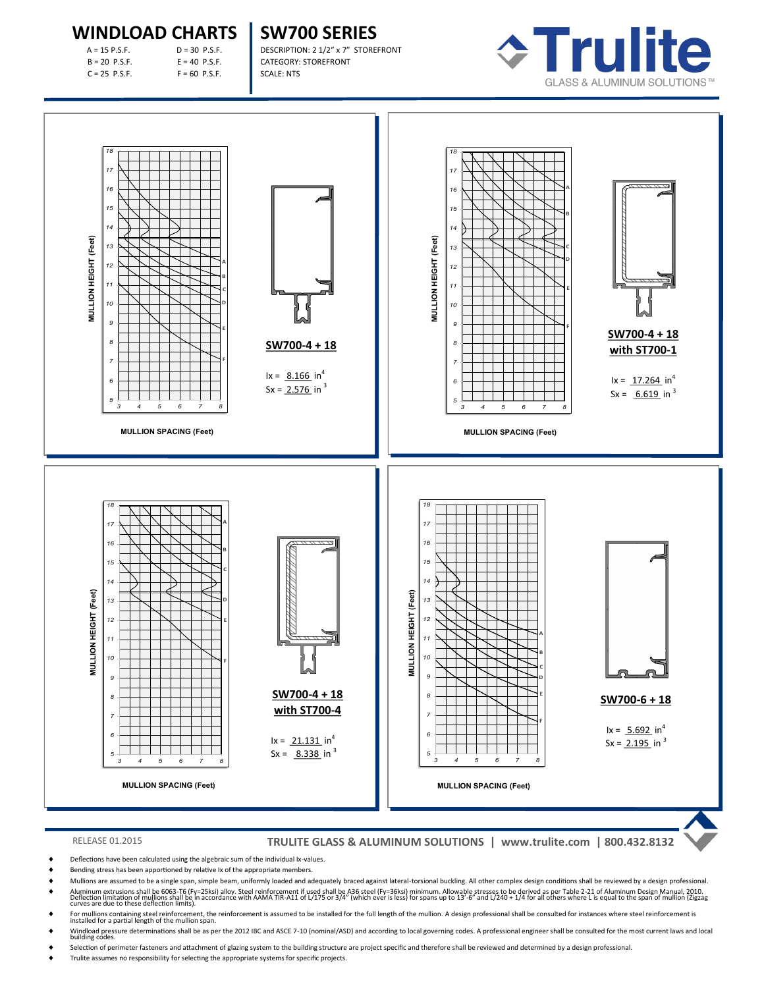## **WINDLOAD CHARTS**

| $A = 15 P.S.F.$ |
|-----------------|
| $B = 20$ P.S.F. |
| C = 25 P.S.F.   |

 $D = 30$  P.S.F.  $E = 40$  P.S.F.  $F = 60$  P.S.F.

**SW700 SERIES** DESCRIPTION: 2 1/2" x 7" STOREFRONT CATEGORY: STOREFRONT

SCALE: NTS





### RELEASE 01.2015 **TRULITE GLASS & ALUMINUM SOLUTIONS | www.trulite.com | 800.432.8132**

- Deflections have been calculated using the algebraic sum of the individual Ix-values.
- Bending stress has been apportioned by relative Ix of the appropriate members.
- Mullions are assumed to be a single span, simple beam, uniformly loaded and adequately braced against lateral-torsional buckling. All other complex design conditions shall be reviewed by a design professional. ♦ Aluminum extrusions shall be 6063-T6 (Fy=25ksi) alloy. Steel reinforcement if used shall be A36 steel (Fy=36ksi) minimum. Allowable stresses to be derived as per Table 2-21 of Aluminum Design Manual, 2010.<br>Deflection li
- 
- ♦ For mullions containing steel reinforcement, the reinforcement is assumed to be installed for the full length of the mullion. A design professional shall be consulted for instances where steel reinforcement is installed
- ♦ Windload pressure determinations shall be as per the 2012 IBC and ASCE 7-10 (nominal/ASD) and according to local governing codes. A professional engineer shall be consulted for the most current laws and local<br>building c
- Selection of perimeter fasteners and attachment of glazing system to the building structure are project specific and therefore shall be reviewed and determined by a design professional.
- Trulite assumes no responsibility for selecting the appropriate systems for specific projects.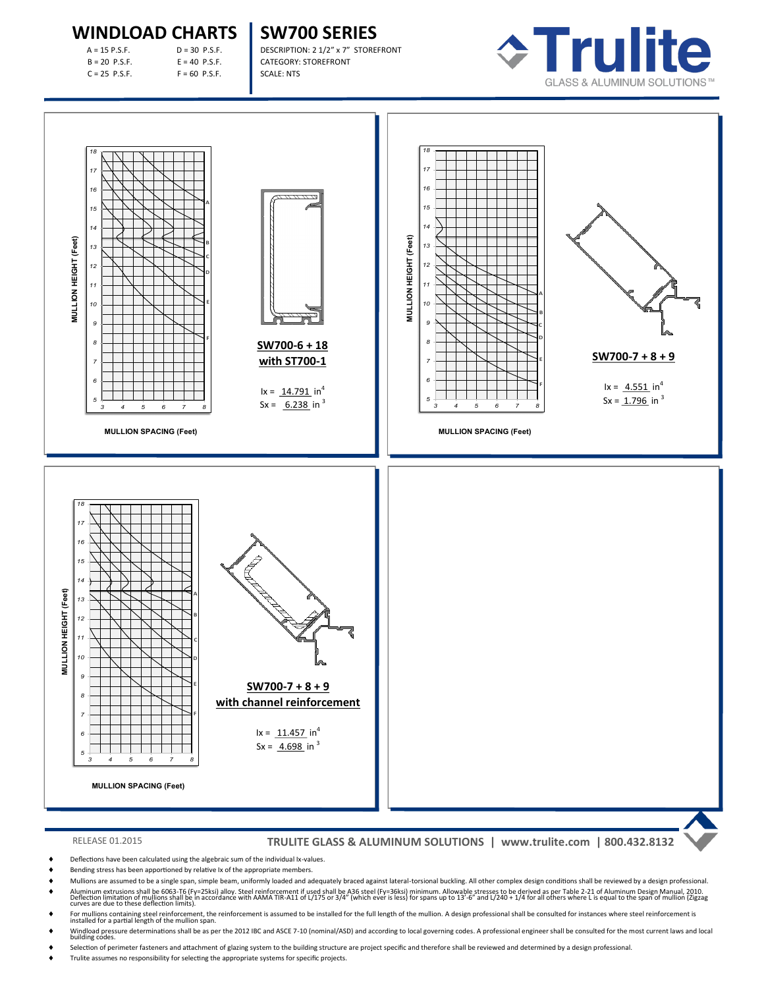# **WINDLOAD CHARTS**

| $A = 15 P.S.F.$ |  |
|-----------------|--|
| $B = 20$ P.S.F. |  |
| $C = 25$ P.S.F. |  |

 $D = 30$  P.S.F.  $E = 40$  P.S.F.  $F = 60$  P.S.F.

**SW700 SERIES** DESCRIPTION: 2 1/2" x 7" STOREFRONT CATEGORY: STOREFRONT

SCALE: NTS





### RELEASE 01.2015 **TRULITE GLASS & ALUMINUM SOLUTIONS | www.trulite.com | 800.432.8132**

- Deflections have been calculated using the algebraic sum of the individual Ix-values.
- Bending stress has been apportioned by relative Ix of the appropriate members.
- Mullions are assumed to be a single span, simple beam, uniformly loaded and adequately braced against lateral-torsional buckling. All other complex design conditions shall be reviewed by a design professional.
- ♦ Aluminum extrusions shall be 6063-T6 (Fy=25ksi) alloy. Steel reinforcement if used shall be A36 steel (Fy=36ksi) minimum. Allowable stresses to be derived as per Table 2-21 of Aluminum Design Manual, 2010.<br>Deflection li
- ♦ For mullions containing steel reinforcement, the reinforcement is assumed to be installed for the full length of the mullion. A design professional shall be consulted for instances where steel reinforcement is installed
- ♦ Windload pressure determinations shall be as per the 2012 IBC and ASCE 7-10 (nominal/ASD) and according to local governing codes. A professional engineer shall be consulted for the most current laws and local<br>building c
- Selection of perimeter fasteners and attachment of glazing system to the building structure are project specific and therefore shall be reviewed and determined by a design professional.
-